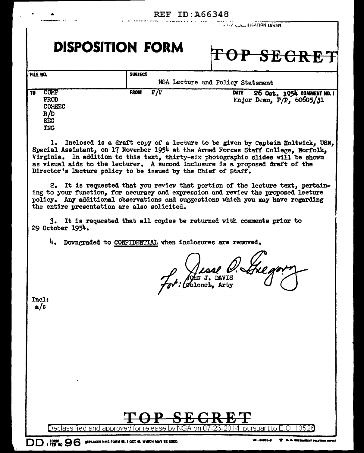### REF ID: A66348

 $\overline{U}$  and  $\overline{U}$  and  $\overline{U}$  and  $\overline{U}$  and  $\overline{U}$  and  $\overline{U}$ 

## **DISPOSITION FORM**

|  | TOP SECRET |  |  |  |
|--|------------|--|--|--|
|  |            |  |  |  |

| FILE NO. |                                                                  | SUBJECT     |     |                                  |             |                                                         |
|----------|------------------------------------------------------------------|-------------|-----|----------------------------------|-------------|---------------------------------------------------------|
|          |                                                                  |             |     | NSA Lecture and Policy Statement |             |                                                         |
| TO       | COMP<br>PROD<br><b>COMSEC</b><br>R/D<br><b>SEC</b><br><b>TNG</b> | <b>FROM</b> | P/P |                                  | <b>DATE</b> | 26 Oct. 1954 COMMENT NO. 1<br>Major Dean, P/P, 60605/jl |

1. Inclosed is a draft copy of a lecture to be given by Captain Holtwick, USN, Special Assistant, on 17 November 1954 at the Armed Forces Staff College, Norfolk, Virginia. In addition to this text, thirty-six photographic slides will be shown as visual aids to the lecturer. A second inclosure is a proposed draft of the Director's lecture policy to be issued by the Chief of Staff.

2. It is requested that you review that portion of the lecture text, pertaining to your function, for accuracy and expression and review the proposed lecture policy. Any additional observations and suggestions which you may have regarding the entire presentation are also solicited.

3. It is requested that all copies be returned with comments prior to 29 October 1954.

4. Downgraded to CONFIDENTIAL when inclosures are removed.

Incl:  $a/s$ 

Declassified

and

FORM **OO** REPLACES NHE FORM 98, 1 OCT 48. WHICH MAY BE USED.

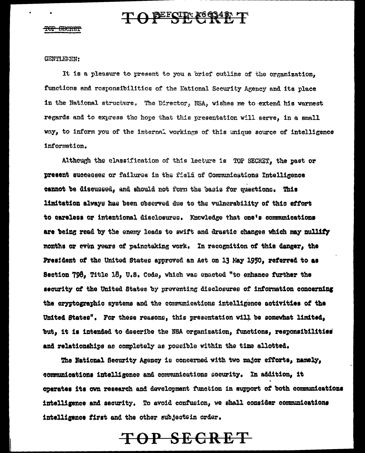#### TOP SECRET

#### GENTLEMEN:

It is a pleasure to present to you a brief outline of the organization, functions and responsibilities of the National Security Agency and its place in the National structure. The Director, NSA, wishes me to extend his warmest regards and to express the hope that this presentation will serve, in a small way, to inform you of the internal workings of this unique source of intelligence information.

Although the classification of this lecture is TOP SECRET, the past or present successes or failures in the field of Communications Intelligence cannot be discussed, and should not form the basis for questions. This limitation always has been observed due to the vulnerability of this effort to careless or intentional disclosures. Knowledge that one's communications are being read by the enemy leads to swift and drastic changes which may nullify months or even years of painstaking work. In recognition of this danger, the President of the United States approved an Act on 13 May 1950, referred to as Section 798, Title 18, U.S. Code, which was enacted "to enhance further the security of the United States by preventing disclosures of information concerning the cryptographic systems and the communications intelligence activities of the United States". For these reasons, this presentation will be somewhat limited, but, it is intended to describe the NSA organization, functions, responsibilities and relationships as completely as possible within the time allotted.

The National Security Agency is concerned with two major efforts, namely, communications intelligence and communications security. In addition, it operates its own research and development function in support of both communications intelligence and security. To avoid confusion, we shall consider communications intelligence first and the other subjects in order.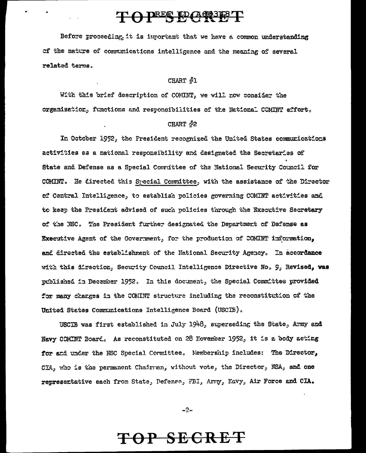### TO PRES TO CASE TO

Before proceeding, it is important that we have a common understanding of the nature of communications intelligence and the meaning of several related terms.

#### CHART  $#1$

With this brief description of COMINT, we will now consider the organization, functions and responsibilities of the National COMINT effort.

#### CHART #2

In October 1952, the President recognized the United States communications activities as a national responsibility and designated the Secretaries of State and Defense as a Special Committee of the National Security Council for COMINT. He firected this Special Committee, with the assistance of the Director of Central Intelligence, to establish policies governing COMINT activities and to keep the President advised of such policies through the Executive Secretary of the NSC. The President further designated the Department of Defense as Executive Agent of the Government, for the production of COMINT information, and directed the establishment of the National Security Agency. In accordance with this direction, Security Council Intelligence Directive No.  $\mathcal{G}_p$  Revised, was published in December 1952. In this document, the Special Committee provided for many changes in the COMINT structure including the reconstitution of the United States Communications Intelligence Board (USCIB).

USCIB was first established in July 1948, superseding the State, Army and Nevy COMINT Board. As reconstituted on 28 November 1952, it is a body acting for and under the NSC Special Cormittee. Membership includes: The Director, CIA, who is the permanent Chairman, without vote, the Director, NSA, and one represertative each from State, Defense, FBI, Arry, Navy, Air Force and CIA.

 $-2-$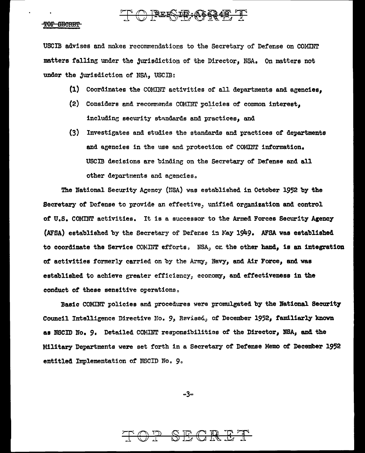#### <del>TOP SECRET</del>

USCIB advises and makes recommendations to the Secretary of Defense on COMINT matters falling under the jurisdiction of the Director, NSA. On matters not under the jurisdiction of NSA, USCIB:

 $\Gamma$   $\bigcirc$  REESID: AS 63.48,  $\Gamma$ 

- (1) Coordinates the COMINT activities of all departments and agencies,
- (2) Considers and recommends COMINT policies of common interest, including security standards and practices, and
- (3) Investigates and studies the standards and practices of departments and agencies in the use and protection of COMINT information. USCIB decisions are binding on the Secretary of Defense and all other departments and agencies.

The National Security Agency (NSA) was established in October 1952 by the Secretary of Defense to provide an effective, unified organization and control of U.S. COMINT activities. It is a successor to the Armed Forces Security Agency (AFSA) established by the Secretary of Defense in May 1949. AFSA was established to coordinate the Service COMINT efforts. NSA, or the other hand, is an integration of activities formerly carried on by the Army, Navy, and Air Force, and was established to achieve greater efficiency, economy, and effectiveness in the conduct of these sensitive operations.

Basic COMINT policies and procedures were promulgated by the National Security Council Intelligence Directive No. 9, Ravised, of December 1952, familiarly known as NSCID No. 9. Detailed COMINT responsibilities of the Director, NSA, and the Military Departments were set forth in a Secretary of Defense Memo of December 1952 entitled Implementation of NSCID No. 9.

-3-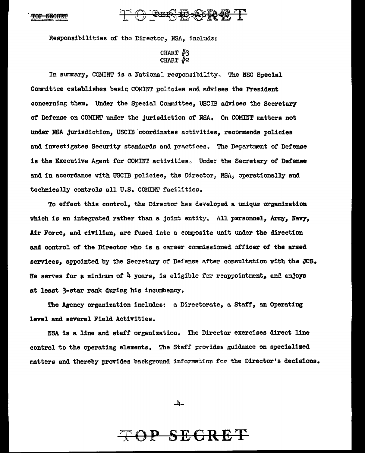TO RESESSORE T

Responsibilities of the Director, NSA, include:

### CHART  $#3$ <br>CHART  $#2$

In summary, COMINT is a National responsibility, The NSC Special Committee establishes basic COMINT policies and advises the President concerning them. Under the Special Committee, USCIB advises the Secretary of Defense on COMINT under the jurisdiction of NSA. On COMINT matters not under NSA jurisdiction, USCIB coordinates activities, recommends policies and investigates Security standards and practices. The Department of Defense is the Executive Agent for COMINT activities. Under the Secretary of Defense and in accordance with USCIB policies, the Director, NSA, operationally and technically controls all U.S. COMINT facilities.

To effect this control, the Director has developed a unique organization which is an integrated rather than a joint entity. All personnel, Army, Navy, Air Force, and civilian, are fused into a composite unit under the direction and control of the Director who is a carcer commissioned officer of the armed services, appointed by the Secretary of Defense after consultation with the JCS. He serves for a minimum of 4 years, is eligible for reappointment, and enjoys at least 3-star rank during his incumbency.

The Agency organization includes: a Directorate, a Staff, an Operating level and several Field Activities.

NSA is a line and staff organization. The Director exercises direct line control to the operating elements. The Staff provides guidance on specialized matters and thereby provides background information for the Director's decisions.

-4-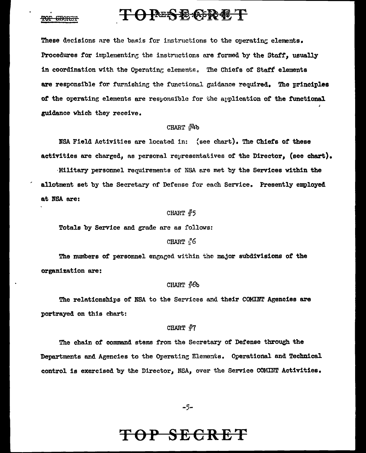### **FORESE GRET**

#### <del>SPCR-"</del>

These decisions are the basis for instructions to the operating elements. Procedures for implementing the instructions are formed by the Staff, usually in coordination with the Operating elements. The Chiefs of Staff elements are responsible for furnishing the functional guidance required. The principles of the operating elements are responsible for the application of the functional guidance which they receive.

#### CHART  $\frac{1}{4}4$ b

NSA Field Activities are located in: (see chart). The Chiefs of these activities are charged, as personal representatives of the Director, (see chart).

·Military personnel requirements of NSA sre met by the Services within the allotment set by the Secretary of Defense for each Service. Presently employed at NSA are:

#### CHART  $#5$

Totals by Service and grade are as follows:

#### CHART  $\frac{1}{4}$ <sup> $\prime$ </sup>6

The numbers of personnel engaged within the major subdivisions of the organization are:

#### CHART  $#6b$

The relationships of NSA to the Services and their COMINT Agencies are portrayed on this chart:

#### CHART  $#7$

The chain of command stems from the Secretary of Defense through the Departments and Agencies to the Operating Elements. Operational and Technical control is exercised by the Director, NSA, over the Service COMINT Activities.

-5-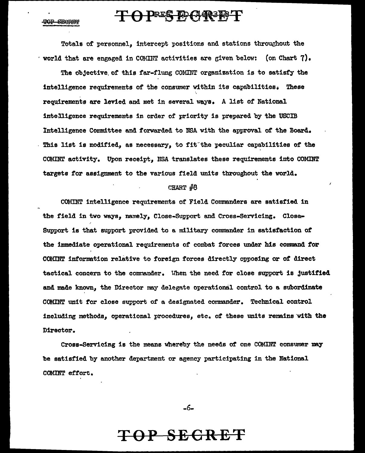#### **SECRET**

### TO PRES POCASE P

Totals of personnel, intercept positions and stations throughout the  $\cdot$  world that are engaged in COMINT activities are given below: (on Chart 7).

The objective of this far-flung COMINT organization is to satisfy the intelligence requirements of the consumer within its capabilities. These requirements are levied and met in several ways. A list of National intelligence requirements in order of priority is prepared by the USCIB Intelligence Committee and forwarded to NSA with the approval of the Board. This list is modified, as necessary, to fit-the peculiar capabilities of the COMINT activity. Upon receipt, NSA translates these requirements into COMINT targets for assignment to the various field units throughout the world.

#### CHART  $#8$

COMINT intelligence requirements of Field Commanders are satisfied in the field in two ways, namely, Close-Support and Cross-Servicing. Close-Support is that support provided to a military commander in satisfaction of the immediate operational requirements of combat forces under his command for COMINT information relative to foreign forces directly opposing or of direct tactical concern to the commander. When the need for close support is justified and made known, the Director may delegate operational control to a subordinate COMINT unit *tor* close support or a designated commander. Technical control including methods, operational procedures, etc. of these unite remains·with the Director.

Cross-Servicing is the means whereby the needs of one COMINT consumer may be satisfied by another department or agency participating in the National COMINT effort.

-6-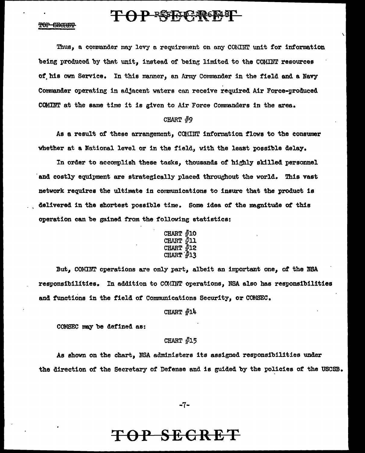### TO P REFLEAR EPALE

Thus, a commander may levy a requirement on any COMINT unit for information being produced by that unit, instead of being limited to the COMINT resources of his own Service. In this manner, an Army Commander in the field and a Navy Commander operating in adjacent waters can receive required Air Force-produced COMINT at the same time it is given to Air Force Commanders in the area.

 $\lambda$ 

#### CHART #9

As a result of these arrangement, COMINT information flows to the consumer whether at a National level or in the field, with the least possible delay.

In order to accomplish these tasks, thousands of highly skilled personnel and costly equipment are strategically placed throughout the world. This vast network requires the ultimate in communications to insure that the product is delivered in the shortest possible time. Some idea of the magnitude of this operation can be gained from the following statistics:

| CHART #10    |                  |
|--------------|------------------|
| <b>CHART</b> | $\frac{n}{H}$ 11 |
| CHART $#12$  |                  |
| CHART $#13$  |                  |

:But, COMINT operations are only part, albeit an important one, of the NSA responsibilities. In addition to COMINT operations, NSA also has responsibilities and functions in the field of Communications Security, or COMSEC.

CHART  $#14$ 

COMSEC may be defined as:

#### CHART  $#15$

As shown on the chart, NSA administers its assisned responsibilities under the direction of the Secretary of Defense and is guided by the policies of the USCSB.

-7-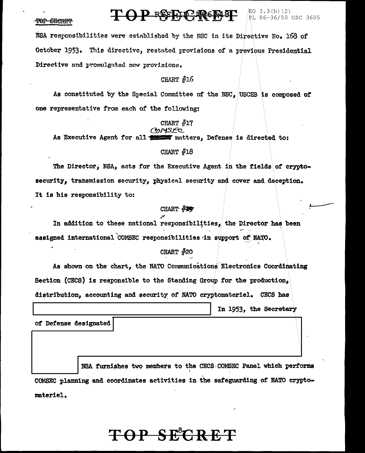### $P$  RSF $_{\rm F}$ P. 20  $_{\rm H}$  8  $_{\rm PL}$  36-36/50 USC 3605

### $EO$  3.3( $h$ ) (2)

'

#### TOP SECRET

NSA responsibilities were established by the NSC in its Directive No. 168 of October 1953. This directive, restated provisions of a previous Presidential Directive and promulgated new provisions.

#### CHART */f* 16

As constituted by the Special Committee of the NSC, USCSB is composed of' one representative from each of the following:

#### CHART #17 COMSEC

As Executive Agent for all the matters, Defense is directed to:

#### CHART  $#18$

The Director; NSA, acts for the Executive Agent in the fields of crypto. security, transmission security, physical security and cover and deception. It is his responsibility to: ~

#### CHART- $# 2$

In addition to these national responsibilities, the Director has been assigned international COMSEC responsibilities in support of NATO.

#### CHART  $#20$

As shown on the chart, the NATO Communications Electronics Coordinating Section (CECS) is responsible to the Standing Group *tor* the production, 4istr1but1on, accounting and securitY: *ot* NATO cryptomateriel. CECS bas

In 1953, the Secretary

of Defense designated

I

NSA furnishes two members to the CECS COMSEC Panel which performs ' COMSEC planning and coordinates activities in the safeguarding of NATO cryptomateriel.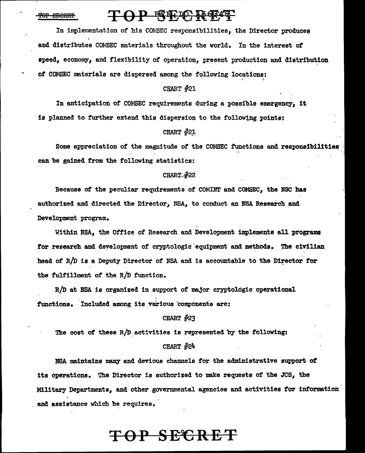#### OP SECREP

### $\bf{P}$  FICE TO  $\bf{N}$  63.48

In implementation of his CONSEC responsibilities, the Director produces and distributes COMSEC materials throughout the world. In the interest of speed, economy, and flexibility of operation, present production and distribution of COMSEC materials are dispersed among the following locations:

#### CHART  $#21$

'

In anticipation of COMSEC requirements during a possible emergency, it is planned to further extend this dispersion to the following points:

#### CHART  $#21$

Some appreciation of the magnitude of the COMSEC functions and responsibilities can be gained from the following statistics:

#### CHART<sub>~#22</sub>

Because of the peculiar requirements of COMINT and COMSEC, the NSC has authorized and directed the Director, NSA, to conduct an NSA Research and Development program.

Within NSA, the Office of Research and Development implements all programs for research and development of cryptologic equipment and methods. The civilian head of  $R/D$  is a Deputy Director of NSA and is accountable to the Director for the fulfillment of the R/D function.

R/D at NSA is organized in support of major cryptologic operational I functions. Included among its various components are:

#### CHART  $#23$

The cost of these  $R/D$  activities is represented by the following:

#### CHART  $#24$

NSA maintains many and devious channels for the administrative support of its operations. The Director is authorized to make requests of the JCS, the Military Departments, and other governmental agencies and activities for information and assistance which he requires.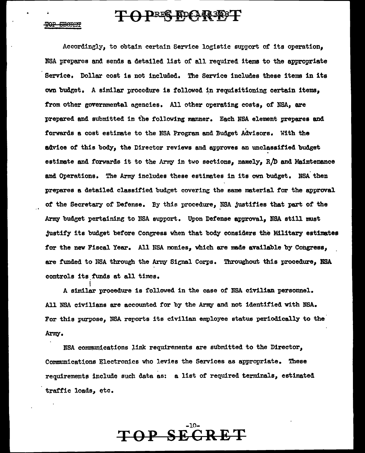### TO PRES FOCAR PEPT

<del>-SBCRET</del>

Accordingly, to obtain certain Service logistic support of its operation, NSA prepares and sends a detailed list or all required items to the appropriate Service. Dollar cost is not included. The Service includes these items in its own budget. A similar procedure is followed in requisitioning certain items, from other governmental agencies. All other operating costs, of NSA, are prepared and submitted in the following manner. Each NSA element prepares and forwards a cost estimate to the NSA Program and Budget Advisors. With the advice of this body, the Director reviews and approves an unclassified budget estimate and forwards it to the Army in two sections, namely,  $R/D$  and Maintenance and Operations. The Army includes these estimstes in its own budget. NSA then prepares a detailed classified budget covering the same material for the approval of the Secretary oi' Defense. By thie procedure, NSA justifies that part of the Army budget pertaining to NSA support. Upon Defense approval. NSA still must justify its budget before Congress when that body considers the Military estimates for the new Fiscal Year. All NSA monies, which are made available by Congress, are funded to NSA through the Army Signal Corps. Throughout this procedure, NSA controls its funds at all times.

|<br>A similar procedure is followed in the case of NSA civilian personnel. All NSA civilians are accounted for by the Army and not identified with NSA. For this purpose, NSA reports its civilian employee status periodically to the Army.

NSA communications link requirements are submitted to the Director, Communications Electronics who levies the Services as appropriate. These requirements include such data as: a list of required terminals, estimated traffic loads, etc.

# -10- **T OP SECRET**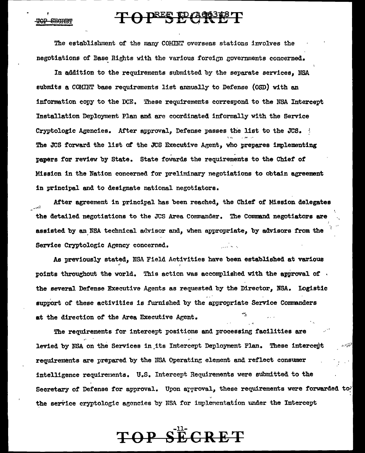### TOPES PLACE T

The establishment of the many COMINT overseas stations involves the negotiations of Base Rights with the various foreign governments concerned.

In addition to the requirements submitted by the separate services, NSA submits a COMINT base requirements list annually to Defense (OSD) with an information copy to the DCE. 'l'hese requirements correspond to the MSA Intercept Installation Deployment Plan and are coordinated informally with the Service Cryptologic Agencies. After approval, Defense passes the list to the JCS.  $\frac{1}{2}$ The JCS forward the list of the JCS Executive Agent, who prepares implementing papers for review by State. State fowards the requirements to the Chief of Mission in the Nation concerned for preliminary negotiations to obtain agreement in principal and to designate national negotiators.

After agreement in principal has been reached, the Chief of Mission delegates the detailed negotiations to the JCS Area Commander. The Comnand negotiators are assisted by an NSA technical advisor and, when appropriate, by advisors from the Service Cryptologic Agency concerned.

As previously stated, NSA Field Activities have been established at various  $\mathbf{r}$  is a set of the contract of the contract of the contract of the contract of the contract of the contract of the contract of the contract of the contract of the contract of the contract of the contract of the cont points throughout the world. This action was accomplished with the approval of  $\cdot$ the several Defense Executive Agents as requested by the Director, NSA. Logistic support of these activities is furnished by the appropriate Service Commanders at the direction of the Area Executive Agent.

The requirements for intercept positions and processing facilities are levied by NSA on the Services in its Intercept Deployment Plan. These intercept requirements are prepared by the NSA Operating element and reflect consumer intelligence requirenents. u.s. Intercept Requirements were submitted to the Secretary of Defense for approval. Upon approval, these requirements were forwarded to; the service cryptologic agencies by NSA for implementation under the Intercept

-11- **T OP SECRET**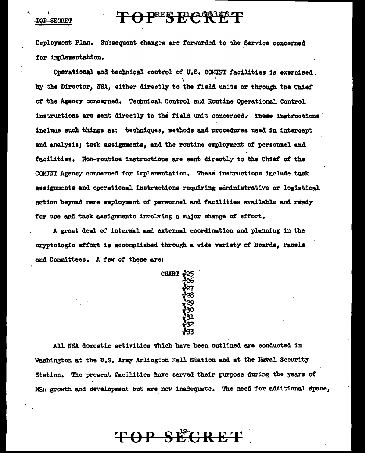### TOP SECRET

### TOPESE CR3248-T

Deployment Plan. Subsequent changes are forwarded to the Service concerned for implementation.

Operational and technical control of U.S. COMINT facilities is exercised. by the Director, NSA, either directly to the field units or through the Chief of the Agency concerned. Technical Control and Routine Operational Control instructions are sent directly to the field unit concerned. These instructions include such things as: techniques, methods and procedures used in intercept and analysis; task assignments, and the routine employment of personnel and facilities. Non-routine instructions are sent directly to the Chief of the COMINT Agency concerned for implementation. These instructions include task assignments and operational instructions requiring administrative or logistical action beyond mere employment of personnel and facilities available and ready. for use and task assignments involving a major change of effort.

A great deal of internal and external coordination and planning in the cryptologic effort is accomplished through a wide variety of Boards, Panels and Committees. A few of these are:

**CHART** #25<br>#26<br>#28<br>#30<br>#30<br>#39

All NSA domestic activities which have been outlined are conducted in Washington at the U.S. Army Arlington Hall Station and at the Naval Security Station. The present facilities have served their purpose during the years of NSA growth and development but are now inadequate. The need for additional space,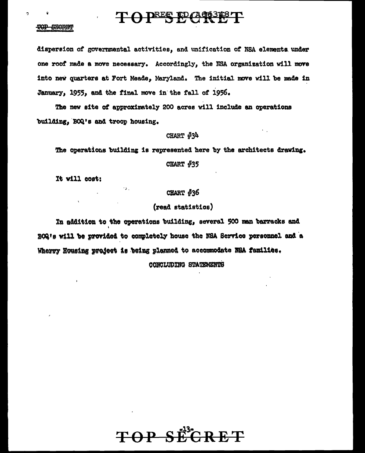### TOPRES EPGASET

#### TOP SECRET

b

dispersion of governmental activities, and unification of NSA elements under one roof made a move necessary. Accordingly, the NSA organization will move into new quarters at Fort Meade, Maryland. The initial move will be made in January, 1955, and the final move in the fall of 1956.

The new site of approximately 200 acres will include an operations building, BOQ's and troop housing.

#### CHART  $#34$

 $\epsilon_{\rm{eff}}$ 

The operations building is represented here by the architects drawing.

#### CHART  $#35$

It will cost:

12.

#### CHART  $#36$

#### (read statistics)

In addition to the operations building, several 500 man barracks and BOG's will be provided to completely house the NSA Service personnel and a Wherry Housing project is being planned to accommodate NSA families.

CONCLUDING STATEMENTS

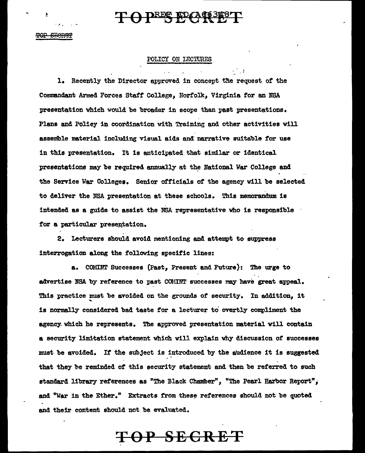### **PREE ID CACE 348 T**

...

#### POLICY ON LBCTURES

< 'I

l. Recently the Director approved in concept the request *ot* the Commandant Armed Forces Staff COllege, Morfolk, Virginia for an NSA presentation which would be broader in scope than past presentations. Plans and Policy in coordination with Training and other activities will assenible material including visual aids and narrative suitable for use in this presentation. It is anticipated that similar or identical presentations may be required annually at the National War College and the Service War Colleges. Senior officials of the agency will be selected to deliver the NSA presentation at these schools. This memorandum is intended as a guide to assist the NSA representative who is responsible for a particular presentation.

2. Lecturers should avoid mentioning and attempt to suppress interrogation along the following specific lines:

a. COMINT Successes (Past, Present and Future): The urge to advertise NSA by reference to past COMINT successes may have great appeal. This practice must be avoided on the grounds of security. In addition, it is normally considered bad taste for a lecturer to overtly compliment the agency. which he represents. The approved presentation material will contain a security limitation statement which will explain why discussion of successes must be avoided. If the subject is introduced by the audience it is suggested that they be reminded of this security statement and then be referred to such standard library references as "The Black Chamber", "The Pearl Harbor Report", and "War in the Ether." Extracts from these references should not be quoted and their content should not be evaluated.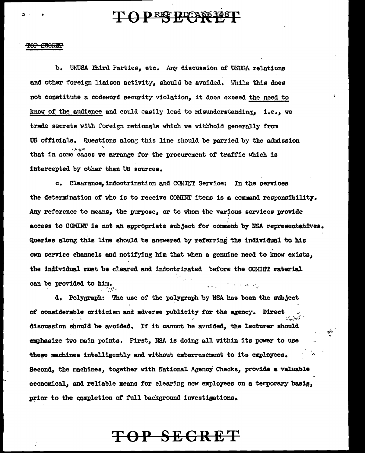### TOPETHE CREE

#### TOP SECRET

J

b. UKUSA Third Parties, etc. Any discussion of UKUSA relations and other foreign liaison activity, should be avoided. While this does not constitute a codeword security violation, it does exceed the need to know of the audience end could easily lead to misunderstanding, i.e., we trade secrets with foreign nationals which we withhold generally from US officials. Questions along this line should be parried by the admission  $\sim$   $\sim$ that in some cases we arrange for the procurement of traffic which is intercepted by other than US sources.

c. Clearance, indoctrination and COMINT Service: In the services the determination of who is to receive COMINT items is a command responsibility. Any reference to means, the purpose, or to whom the various services provide I access to COMINT is not an appropriate subject for comment by NSA representatives. Queries along this line should be answered by referring the individual to his own service channels and notifying him that when a genuine need to know exists, the individual must be cleared and indoctrinated before the COMilfl' material can be provided to him. ,,,. :;:'" ~"'

d. Polygraph: The use of the polygraph by NSA has been the subject of considerable criticism and adverse publicity for the agency. Direct  $\mathbb{R}^2$ discussion should be avoided. It it cannot be avoided, the lecturer should emphasize two main points. First, NSA is doing all within its power to use these machines intelligently and without embarrasement to its employees. Second, the machines, together with National Agency Checks, provide a valuable economical, and reliable means for clearing new employees on a temporary basis, prior to the completion of full background investigations.

 $\cdot$  .  $\frac{1}{n}$